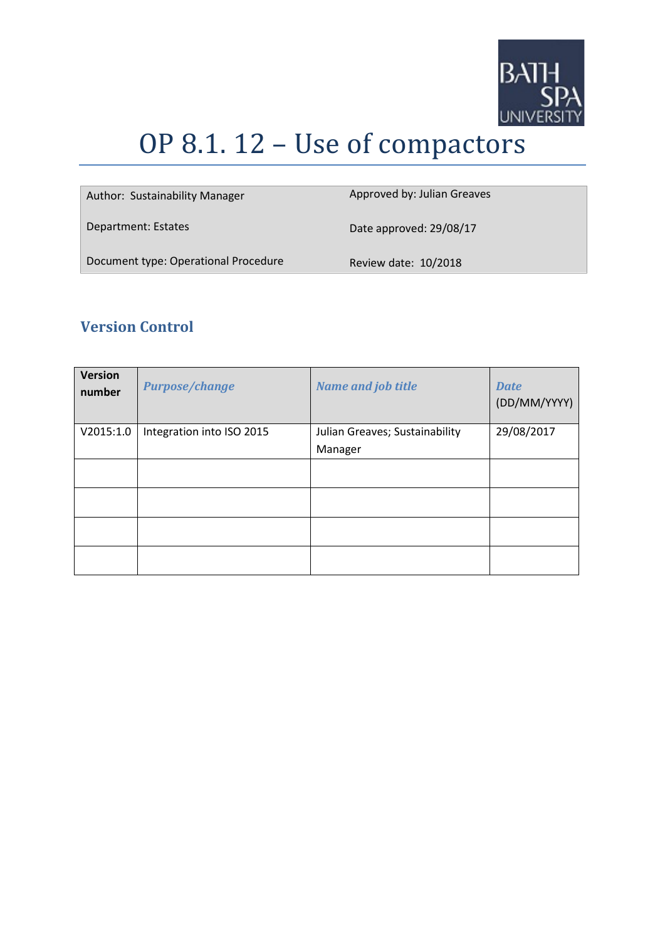

# OP 8.1. 12 – Use of compactors

| Author: Sustainability Manager       | Approved by: Julian Greaves |
|--------------------------------------|-----------------------------|
| Department: Estates                  | Date approved: 29/08/17     |
| Document type: Operational Procedure | Review date: 10/2018        |

# **Version Control**

| <b>Version</b><br>number | <b>Purpose/change</b>     | <b>Name and job title</b>      | <b>Date</b><br>(DD/MM/YYYY) |
|--------------------------|---------------------------|--------------------------------|-----------------------------|
| V2015:1.0                | Integration into ISO 2015 | Julian Greaves; Sustainability | 29/08/2017                  |
|                          |                           | Manager                        |                             |
|                          |                           |                                |                             |
|                          |                           |                                |                             |
|                          |                           |                                |                             |
|                          |                           |                                |                             |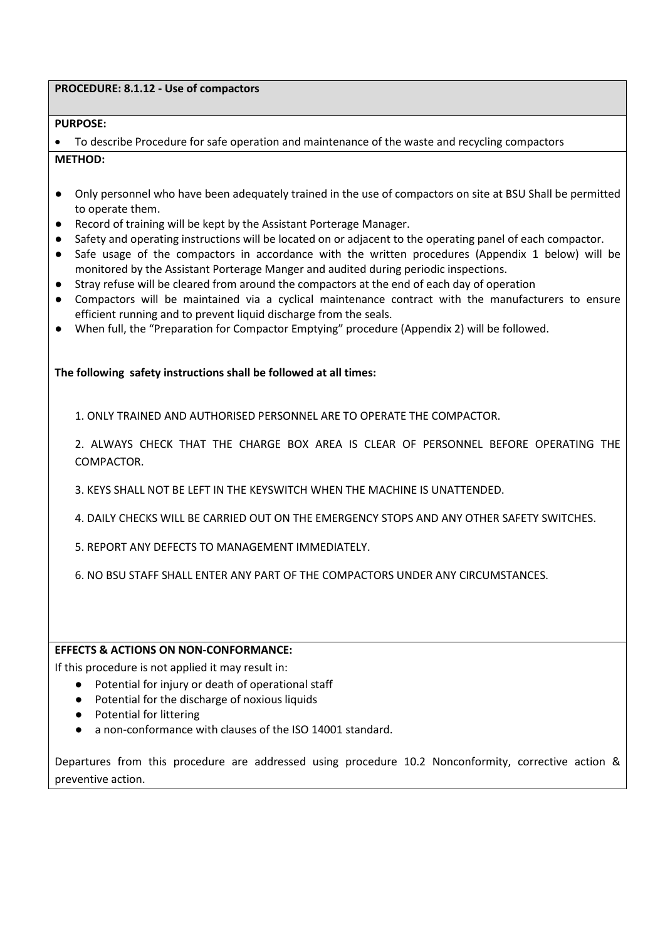# **PROCEDURE: 8.1.12 - Use of compactors**

# **PURPOSE:**

• To describe Procedure for safe operation and maintenance of the waste and recycling compactors **METHOD:**

- Only personnel who have been adequately trained in the use of compactors on site at BSU Shall be permitted to operate them.
- Record of training will be kept by the Assistant Porterage Manager.
- Safety and operating instructions will be located on or adjacent to the operating panel of each compactor.
- Safe usage of the compactors in accordance with the written procedures (Appendix 1 below) will be monitored by the Assistant Porterage Manger and audited during periodic inspections.
- Stray refuse will be cleared from around the compactors at the end of each day of operation
- Compactors will be maintained via a cyclical maintenance contract with the manufacturers to ensure efficient running and to prevent liquid discharge from the seals.
- When full, the "Preparation for Compactor Emptying" procedure (Appendix 2) will be followed.

# **The following safety instructions shall be followed at all times:**

1. ONLY TRAINED AND AUTHORISED PERSONNEL ARE TO OPERATE THE COMPACTOR.

2. ALWAYS CHECK THAT THE CHARGE BOX AREA IS CLEAR OF PERSONNEL BEFORE OPERATING THE COMPACTOR.

3. KEYS SHALL NOT BE LEFT IN THE KEYSWITCH WHEN THE MACHINE IS UNATTENDED.

4. DAILY CHECKS WILL BE CARRIED OUT ON THE EMERGENCY STOPS AND ANY OTHER SAFETY SWITCHES.

5. REPORT ANY DEFECTS TO MANAGEMENT IMMEDIATELY.

6. NO BSU STAFF SHALL ENTER ANY PART OF THE COMPACTORS UNDER ANY CIRCUMSTANCES.

#### **EFFECTS & ACTIONS ON NON-CONFORMANCE:**

If this procedure is not applied it may result in:

- Potential for injury or death of operational staff
- Potential for the discharge of noxious liquids
- Potential for littering
- a non-conformance with clauses of the ISO 14001 standard.

Departures from this procedure are addressed using procedure 10.2 Nonconformity, corrective action & preventive action.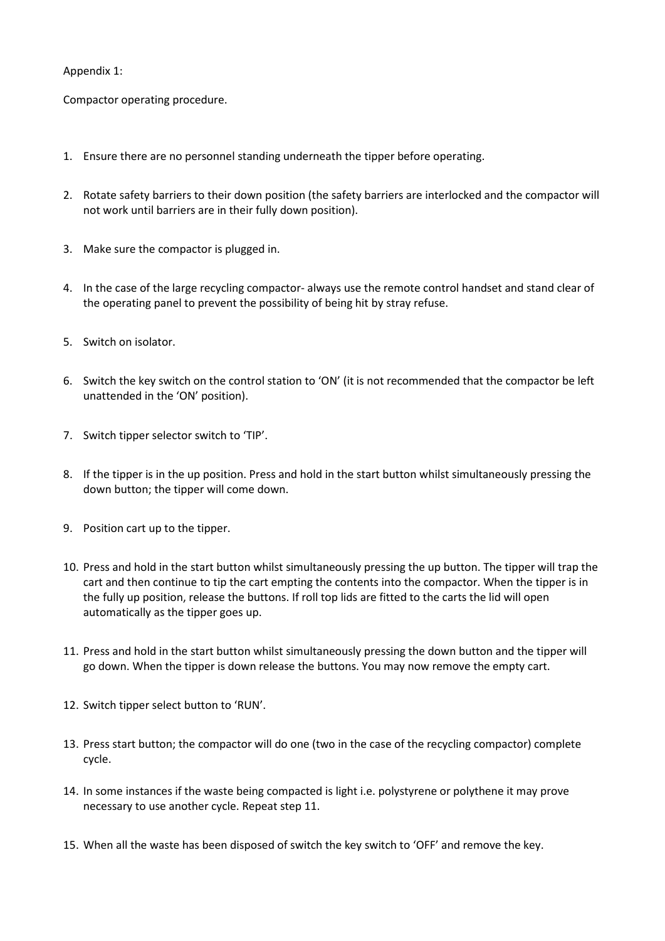# Appendix 1:

Compactor operating procedure.

- 1. Ensure there are no personnel standing underneath the tipper before operating.
- 2. Rotate safety barriers to their down position (the safety barriers are interlocked and the compactor will not work until barriers are in their fully down position).
- 3. Make sure the compactor is plugged in.
- 4. In the case of the large recycling compactor- always use the remote control handset and stand clear of the operating panel to prevent the possibility of being hit by stray refuse.
- 5. Switch on isolator.
- 6. Switch the key switch on the control station to 'ON' (it is not recommended that the compactor be left unattended in the 'ON' position).
- 7. Switch tipper selector switch to 'TIP'.
- 8. If the tipper is in the up position. Press and hold in the start button whilst simultaneously pressing the down button; the tipper will come down.
- 9. Position cart up to the tipper.
- 10. Press and hold in the start button whilst simultaneously pressing the up button. The tipper will trap the cart and then continue to tip the cart empting the contents into the compactor. When the tipper is in the fully up position, release the buttons. If roll top lids are fitted to the carts the lid will open automatically as the tipper goes up.
- 11. Press and hold in the start button whilst simultaneously pressing the down button and the tipper will go down. When the tipper is down release the buttons. You may now remove the empty cart.
- 12. Switch tipper select button to 'RUN'.
- 13. Press start button; the compactor will do one (two in the case of the recycling compactor) complete cycle.
- 14. In some instances if the waste being compacted is light i.e. polystyrene or polythene it may prove necessary to use another cycle. Repeat step 11.
- 15. When all the waste has been disposed of switch the key switch to 'OFF' and remove the key.